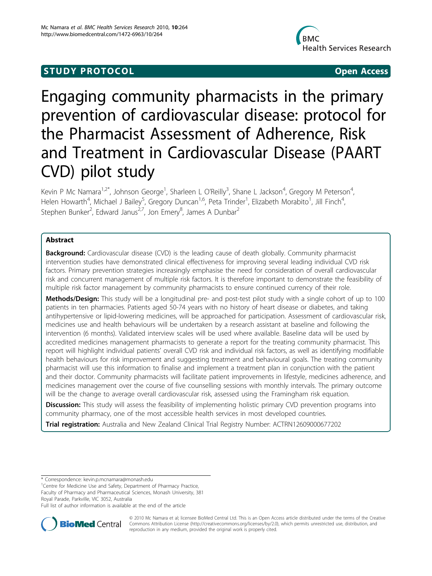# **STUDY PROTOCOL** CONTROL CONTROL CONTROL CONTROL CONTROL CONTROL CONTROL CONTROL CONTROL CONTROL CONTROL CONTROL CONTROL CONTROL CONTROL CONTROL CONTROL CONTROL CONTROL CONTROL CONTROL CONTROL CONTROL CONTROL CONTROL CONTR



# Engaging community pharmacists in the primary prevention of cardiovascular disease: protocol for the Pharmacist Assessment of Adherence, Risk and Treatment in Cardiovascular Disease (PAART CVD) pilot study

Kevin P Mc Namara<sup>1,2\*</sup>, Johnson George<sup>1</sup>, Sharleen L O'Reilly<sup>3</sup>, Shane L Jackson<sup>4</sup>, Gregory M Peterson<sup>4</sup> , Helen Howarth<sup>4</sup>, Michael J Bailey<sup>5</sup>, Gregory Duncan<sup>1,6</sup>, Peta Trinder<sup>1</sup>, Elizabeth Morabito<sup>1</sup>, Jill Finch<sup>4</sup> , Stephen Bunker<sup>2</sup>, Edward Janus<sup>2,7</sup>, Jon Emery<sup>8</sup>, James A Dunbar<sup>2</sup>

# Abstract

**Background:** Cardiovascular disease (CVD) is the leading cause of death globally. Community pharmacist intervention studies have demonstrated clinical effectiveness for improving several leading individual CVD risk factors. Primary prevention strategies increasingly emphasise the need for consideration of overall cardiovascular risk and concurrent management of multiple risk factors. It is therefore important to demonstrate the feasibility of multiple risk factor management by community pharmacists to ensure continued currency of their role.

Methods/Design: This study will be a longitudinal pre- and post-test pilot study with a single cohort of up to 100 patients in ten pharmacies. Patients aged 50-74 years with no history of heart disease or diabetes, and taking antihypertensive or lipid-lowering medicines, will be approached for participation. Assessment of cardiovascular risk, medicines use and health behaviours will be undertaken by a research assistant at baseline and following the intervention (6 months). Validated interview scales will be used where available. Baseline data will be used by accredited medicines management pharmacists to generate a report for the treating community pharmacist. This report will highlight individual patients' overall CVD risk and individual risk factors, as well as identifying modifiable health behaviours for risk improvement and suggesting treatment and behavioural goals. The treating community pharmacist will use this information to finalise and implement a treatment plan in conjunction with the patient and their doctor. Community pharmacists will facilitate patient improvements in lifestyle, medicines adherence, and medicines management over the course of five counselling sessions with monthly intervals. The primary outcome will be the change to average overall cardiovascular risk, assessed using the Framingham risk equation.

Discussion: This study will assess the feasibility of implementing holistic primary CVD prevention programs into community pharmacy, one of the most accessible health services in most developed countries.

Trial registration: Australia and New Zealand Clinical Trial Registry Number: ACTRN12609000677202

\* Correspondence: [kevin.p.mcnamara@monash.edu](mailto:kevin.p.mcnamara@monash.edu)

<sup>1</sup> Centre for Medicine Use and Safety, Department of Pharmacy Practice,

Faculty of Pharmacy and Pharmaceutical Sciences, Monash University, 381 Royal Parade, Parkville, VIC 3052, Australia

Full list of author information is available at the end of the article



© 2010 Mc Namara et al; licensee BioMed Central Ltd. This is an Open Access article distributed under the terms of the Creative Commons Attribution License [\(http://creativecommons.org/licenses/by/2.0](http://creativecommons.org/licenses/by/2.0)), which permits unrestricted use, distribution, and reproduction in any medium, provided the original work is properly cited.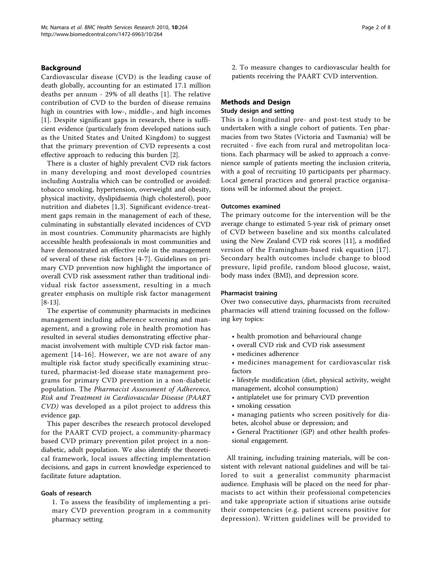# Background

Cardiovascular disease (CVD) is the leading cause of death globally, accounting for an estimated 17.1 million deaths per annum - 29% of all deaths [[1](#page-6-0)]. The relative contribution of CVD to the burden of disease remains high in countries with low-, middle-, and high incomes [[1](#page-6-0)]. Despite significant gaps in research, there is sufficient evidence (particularly from developed nations such as the United States and United Kingdom) to suggest that the primary prevention of CVD represents a cost effective approach to reducing this burden [[2\]](#page-6-0).

There is a cluster of highly prevalent CVD risk factors in many developing and most developed countries including Australia which can be controlled or avoided: tobacco smoking, hypertension, overweight and obesity, physical inactivity, dyslipidaemia (high cholesterol), poor nutrition and diabetes [[1,3](#page-6-0)]. Significant evidence-treatment gaps remain in the management of each of these, culminating in substantially elevated incidences of CVD in most countries. Community pharmacists are highly accessible health professionals in most communities and have demonstrated an effective role in the management of several of these risk factors [\[4](#page-6-0)-[7](#page-6-0)]. Guidelines on primary CVD prevention now highlight the importance of overall CVD risk assessment rather than traditional individual risk factor assessment, resulting in a much greater emphasis on multiple risk factor management [[8-13](#page-6-0)].

The expertise of community pharmacists in medicines management including adherence screening and management, and a growing role in health promotion has resulted in several studies demonstrating effective pharmacist involvement with multiple CVD risk factor management [[14](#page-6-0)-[16\]](#page-6-0). However, we are not aware of any multiple risk factor study specifically examining structured, pharmacist-led disease state management programs for primary CVD prevention in a non-diabetic population. The Pharmacist Assessment of Adherence, Risk and Treatment in Cardiovascular Disease (PAART CVD) was developed as a pilot project to address this evidence gap.

This paper describes the research protocol developed for the PAART CVD project, a community-pharmacy based CVD primary prevention pilot project in a nondiabetic, adult population. We also identify the theoretical framework, local issues affecting implementation decisions, and gaps in current knowledge experienced to facilitate future adaptation.

# Goals of research

1. To assess the feasibility of implementing a primary CVD prevention program in a community pharmacy setting

2. To measure changes to cardiovascular health for patients receiving the PAART CVD intervention.

# Methods and Design Study design and setting

This is a longitudinal pre- and post-test study to be undertaken with a single cohort of patients. Ten pharmacies from two States (Victoria and Tasmania) will be recruited - five each from rural and metropolitan locations. Each pharmacy will be asked to approach a convenience sample of patients meeting the inclusion criteria, with a goal of recruiting 10 participants per pharmacy. Local general practices and general practice organisations will be informed about the project.

# Outcomes examined

The primary outcome for the intervention will be the average change to estimated 5-year risk of primary onset of CVD between baseline and six months calculated using the New Zealand CVD risk scores [[11](#page-6-0)], a modified version of the Framingham-based risk equation [\[17\]](#page-6-0). Secondary health outcomes include change to blood pressure, lipid profile, random blood glucose, waist, body mass index (BMI), and depression score.

#### Pharmacist training

Over two consecutive days, pharmacists from recruited pharmacies will attend training focussed on the following key topics:

- health promotion and behavioural change
- overall CVD risk and CVD risk assessment
- medicines adherence
- medicines management for cardiovascular risk factors
- lifestyle modification (diet, physical activity, weight management, alcohol consumption)
- antiplatelet use for primary CVD prevention
- smoking cessation
- managing patients who screen positively for diabetes, alcohol abuse or depression; and

• General Practitioner (GP) and other health professional engagement.

All training, including training materials, will be consistent with relevant national guidelines and will be tailored to suit a generalist community pharmacist audience. Emphasis will be placed on the need for pharmacists to act within their professional competencies and take appropriate action if situations arise outside their competencies (e.g. patient screens positive for depression). Written guidelines will be provided to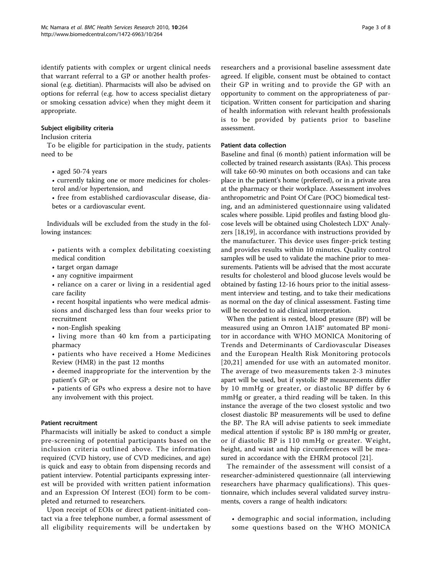identify patients with complex or urgent clinical needs that warrant referral to a GP or another health professional (e.g. dietitian). Pharmacists will also be advised on options for referral (e.g. how to access specialist dietary or smoking cessation advice) when they might deem it appropriate.

#### Subject eligibility criteria

Inclusion criteria

To be eligible for participation in the study, patients need to be

- aged 50-74 years
- currently taking one or more medicines for cholesterol and/or hypertension, and
- free from established cardiovascular disease, diabetes or a cardiovascular event.

Individuals will be excluded from the study in the following instances:

- patients with a complex debilitating coexisting medical condition
- target organ damage
- any cognitive impairment
- reliance on a carer or living in a residential aged care facility

• recent hospital inpatients who were medical admissions and discharged less than four weeks prior to recruitment

- non-English speaking
- living more than 40 km from a participating pharmacy

• patients who have received a Home Medicines Review (HMR) in the past 12 months

• deemed inappropriate for the intervention by the patient's GP; or

• patients of GPs who express a desire not to have any involvement with this project.

# Patient recruitment

Pharmacists will initially be asked to conduct a simple pre-screening of potential participants based on the inclusion criteria outlined above. The information required (CVD history, use of CVD medicines, and age) is quick and easy to obtain from dispensing records and patient interview. Potential participants expressing interest will be provided with written patient information and an Expression Of Interest (EOI) form to be completed and returned to researchers.

Upon receipt of EOIs or direct patient-initiated contact via a free telephone number, a formal assessment of all eligibility requirements will be undertaken by

researchers and a provisional baseline assessment date agreed. If eligible, consent must be obtained to contact their GP in writing and to provide the GP with an opportunity to comment on the appropriateness of participation. Written consent for participation and sharing of health information with relevant health professionals is to be provided by patients prior to baseline assessment.

# Patient data collection

Baseline and final (6 month) patient information will be collected by trained research assistants (RAs). This process will take 60-90 minutes on both occasions and can take place in the patient's home (preferred), or in a private area at the pharmacy or their workplace. Assessment involves anthropometric and Point Of Care (POC) biomedical testing, and an administered questionnaire using validated scales where possible. Lipid profiles and fasting blood glucose levels will be obtained using Cholestech LDX® Analyzers [\[18,19](#page-6-0)], in accordance with instructions provided by the manufacturer. This device uses finger-prick testing and provides results within 10 minutes. Quality control samples will be used to validate the machine prior to measurements. Patients will be advised that the most accurate results for cholesterol and blood glucose levels would be obtained by fasting 12-16 hours prior to the initial assessment interview and testing, and to take their medications as normal on the day of clinical assessment. Fasting time will be recorded to aid clinical interpretation.

When the patient is rested, blood pressure (BP) will be measured using an Omron 1A1B® automated BP monitor in accordance with WHO MONICA Monitoring of Trends and Determinants of Cardiovascular Diseases and the European Health Risk Monitoring protocols [[20,21](#page-6-0)] amended for use with an automated monitor. The average of two measurements taken 2-3 minutes apart will be used, but if systolic BP measurements differ by 10 mmHg or greater, or diastolic BP differ by 6 mmHg or greater, a third reading will be taken. In this instance the average of the two closest systolic and two closest diastolic BP measurements will be used to define the BP. The RA will advise patients to seek immediate medical attention if systolic BP is 180 mmHg or greater, or if diastolic BP is 110 mmHg or greater. Weight, height, and waist and hip circumferences will be measured in accordance with the EHRM protocol [\[21\]](#page-6-0).

The remainder of the assessment will consist of a researcher-administered questionnaire (all interviewing researchers have pharmacy qualifications). This questionnaire, which includes several validated survey instruments, covers a range of health indicators:

• demographic and social information, including some questions based on the WHO MONICA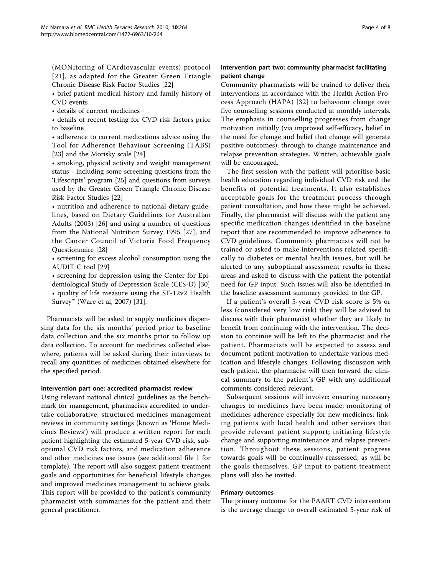(MONItoring of CArdiovascular events) protocol [[21](#page-6-0)], as adapted for the Greater Green Triangle Chronic Disease Risk Factor Studies [\[22](#page-6-0)]

• brief patient medical history and family history of CVD events

• details of current medicines

• details of recent testing for CVD risk factors prior to baseline

• adherence to current medications advice using the Tool for Adherence Behaviour Screening (TABS) [[23\]](#page-6-0) and the Morisky scale [[24](#page-6-0)]

• smoking, physical activity and weight management status - including some screening questions from the 'Lifescripts' program [[25](#page-6-0)] and questions from surveys used by the Greater Green Triangle Chronic Disease Risk Factor Studies [[22\]](#page-6-0)

• nutrition and adherence to national dietary guidelines, based on Dietary Guidelines for Australian Adults (2003) [\[26](#page-6-0)] and using a number of questions from the National Nutrition Survey 1995 [[27\]](#page-6-0), and the Cancer Council of Victoria Food Frequency Questionnaire [[28](#page-6-0)]

• screening for excess alcohol consumption using the AUDIT C tool [[29\]](#page-6-0)

• screening for depression using the Center for Epidemiological Study of Depression Scale (CES-D) [[30](#page-6-0)] • quality of life measure using the SF-12v2 Health Survey™ (Ware et al, 2007) [\[31](#page-6-0)].

Pharmacists will be asked to supply medicines dispensing data for the six months' period prior to baseline data collection and the six months prior to follow up data collection. To account for medicines collected elsewhere, patients will be asked during their interviews to recall any quantities of medicines obtained elsewhere for the specified period.

# Intervention part one: accredited pharmacist review

Using relevant national clinical guidelines as the benchmark for management, pharmacists accredited to undertake collaborative, structured medicines management reviews in community settings (known as 'Home Medicines Reviews') will produce a written report for each patient highlighting the estimated 5-year CVD risk, suboptimal CVD risk factors, and medication adherence and other medicines use issues (see additional file [1](#page-5-0) for template). The report will also suggest patient treatment goals and opportunities for beneficial lifestyle changes and improved medicines management to achieve goals. This report will be provided to the patient's community pharmacist with summaries for the patient and their general practitioner.

# Intervention part two: community pharmacist facilitating patient change

Community pharmacists will be trained to deliver their interventions in accordance with the Health Action Process Approach (HAPA) [[32](#page-6-0)] to behaviour change over five counselling sessions conducted at monthly intervals. The emphasis in counselling progresses from change motivation initially (via improved self-efficacy, belief in the need for change and belief that change will generate positive outcomes), through to change maintenance and relapse prevention strategies. Written, achievable goals will be encouraged.

The first session with the patient will prioritise basic health education regarding individual CVD risk and the benefits of potential treatments. It also establishes acceptable goals for the treatment process through patient consultation, and how these might be achieved. Finally, the pharmacist will discuss with the patient any specific medication changes identified in the baseline report that are recommended to improve adherence to CVD guidelines. Community pharmacists will not be trained or asked to make interventions related specifically to diabetes or mental health issues, but will be alerted to any suboptimal assessment results in these areas and asked to discuss with the patient the potential need for GP input. Such issues will also be identified in the baseline assessment summary provided to the GP.

If a patient's overall 5-year CVD risk score is 5% or less (considered very low risk) they will be advised to discuss with their pharmacist whether they are likely to benefit from continuing with the intervention. The decision to continue will be left to the pharmacist and the patient. Pharmacists will be expected to assess and document patient motivation to undertake various medication and lifestyle changes. Following discussion with each patient, the pharmacist will then forward the clinical summary to the patient's GP with any additional comments considered relevant.

Subsequent sessions will involve: ensuring necessary changes to medicines have been made; monitoring of medicines adherence especially for new medicines; linking patients with local health and other services that provide relevant patient support; initiating lifestyle change and supporting maintenance and relapse prevention. Throughout these sessions, patient progress towards goals will be continually reassessed, as will be the goals themselves. GP input to patient treatment plans will also be invited.

# Primary outcomes

The primary outcome for the PAART CVD intervention is the average change to overall estimated 5-year risk of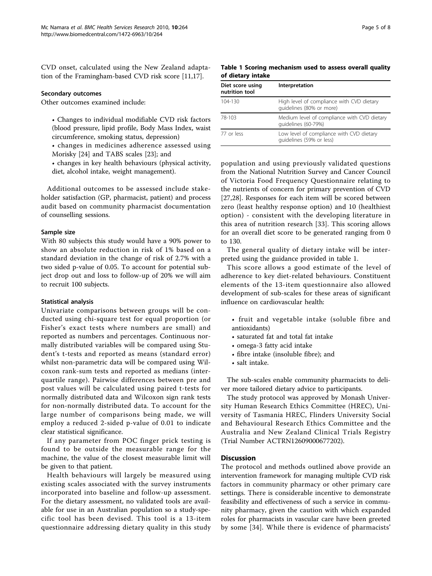CVD onset, calculated using the New Zealand adaptation of the Framingham-based CVD risk score [\[11,17\]](#page-6-0).

#### Secondary outcomes

Other outcomes examined include:

• Changes to individual modifiable CVD risk factors (blood pressure, lipid profile, Body Mass Index, waist circumference, smoking status, depression)

• changes in medicines adherence assessed using Morisky [\[24](#page-6-0)] and TABS scales [[23\]](#page-6-0); and

• changes in key health behaviours (physical activity, diet, alcohol intake, weight management).

Additional outcomes to be assessed include stakeholder satisfaction (GP, pharmacist, patient) and process audit based on community pharmacist documentation of counselling sessions.

#### Sample size

With 80 subjects this study would have a 90% power to show an absolute reduction in risk of 1% based on a standard deviation in the change of risk of 2.7% with a two sided p-value of 0.05. To account for potential subject drop out and loss to follow-up of 20% we will aim to recruit 100 subjects.

#### Statistical analysis

Univariate comparisons between groups will be conducted using chi-square test for equal proportion (or Fisher's exact tests where numbers are small) and reported as numbers and percentages. Continuous normally distributed variables will be compared using Student's t-tests and reported as means (standard error) whilst non-parametric data will be compared using Wilcoxon rank-sum tests and reported as medians (interquartile range). Pairwise differences between pre and post values will be calculated using paired t-tests for normally distributed data and Wilcoxon sign rank tests for non-normally distributed data. To account for the large number of comparisons being made, we will employ a reduced 2-sided p-value of 0.01 to indicate clear statistical significance.

If any parameter from POC finger prick testing is found to be outside the measurable range for the machine, the value of the closest measurable limit will be given to that patient.

Health behaviours will largely be measured using existing scales associated with the survey instruments incorporated into baseline and follow-up assessment. For the dietary assessment, no validated tools are available for use in an Australian population so a study-specific tool has been devised. This tool is a 13-item questionnaire addressing dietary quality in this study

|                   | Table 1 Scoring mechanism used to assess overall quality |  |  |  |
|-------------------|----------------------------------------------------------|--|--|--|
| of dietary intake |                                                          |  |  |  |

| Diet score using<br>nutrition tool | Interpretation                                                        |  |
|------------------------------------|-----------------------------------------------------------------------|--|
| 104-130                            | High level of compliance with CVD dietary<br>quidelines (80% or more) |  |
| 78-103                             | Medium level of compliance with CVD dietary<br>quidelines (60-79%)    |  |
| 77 or less                         | Low level of compliance with CVD dietary<br>quidelines (59% or less)  |  |

population and using previously validated questions from the National Nutrition Survey and Cancer Council of Victoria Food Frequency Questionnaire relating to the nutrients of concern for primary prevention of CVD [[27,28\]](#page-6-0). Responses for each item will be scored between zero (least healthy response option) and 10 (healthiest option) - consistent with the developing literature in this area of nutrition research [[33](#page-6-0)]. This scoring allows for an overall diet score to be generated ranging from 0 to 130.

The general quality of dietary intake will be interpreted using the guidance provided in table 1.

This score allows a good estimate of the level of adherence to key diet-related behaviours. Constituent elements of the 13-item questionnaire also allowed development of sub-scales for these areas of significant influence on cardiovascular health:

- fruit and vegetable intake (soluble fibre and antioxidants)
- saturated fat and total fat intake
- omega-3 fatty acid intake
- fibre intake (insoluble fibre); and
- salt intake.

The sub-scales enable community pharmacists to deliver more tailored dietary advice to participants.

The study protocol was approved by Monash University Human Research Ethics Committee (HREC), University of Tasmania HREC, Flinders University Social and Behavioural Research Ethics Committee and the Australia and New Zealand Clinical Trials Registry (Trial Number ACTRN12609000677202).

#### **Discussion**

The protocol and methods outlined above provide an intervention framework for managing multiple CVD risk factors in community pharmacy or other primary care settings. There is considerable incentive to demonstrate feasibility and effectiveness of such a service in community pharmacy, given the caution with which expanded roles for pharmacists in vascular care have been greeted by some [[34\]](#page-6-0). While there is evidence of pharmacists'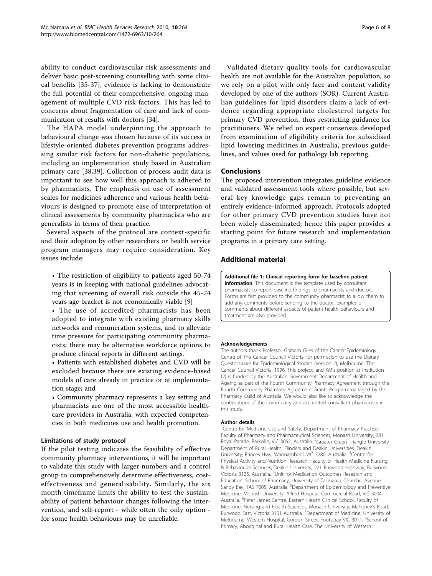<span id="page-5-0"></span>ability to conduct cardiovascular risk assessments and deliver basic post-screening counselling with some clinical benefits [[35](#page-6-0)-[37\]](#page-6-0), evidence is lacking to demonstrate the full potential of their comprehensive, ongoing management of multiple CVD risk factors. This has led to concerns about fragmentation of care and lack of communication of results with doctors [[34\]](#page-6-0).

The HAPA model underpinning the approach to behavioural change was chosen because of its success in lifestyle-oriented diabetes prevention programs addressing similar risk factors for non-diabetic populations, including an implementation study based in Australian primary care [\[38](#page-7-0),[39\]](#page-7-0). Collection of process audit data is important to see how well this approach is adhered to by pharmacists. The emphasis on use of assessment scales for medicines adherence and various health behaviours is designed to promote ease of interpretation of clinical assessments by community pharmacists who are generalists in terms of their practice.

Several aspects of the protocol are context-specific and their adoption by other researchers or health service program managers may require consideration. Key issues include:

• The restriction of eligibility to patients aged 50-74 years is in keeping with national guidelines advocating that screening of overall risk outside the 45-74 years age bracket is not economically viable [[9\]](#page-6-0)

• The use of accredited pharmacists has been adopted to integrate with existing pharmacy skills networks and remuneration systems, and to alleviate time pressure for participating community pharmacists; there may be alternative workforce options to produce clinical reports in different settings.

• Patients with established diabetes and CVD will be excluded because there are existing evidence-based models of care already in practice or at implementation stage; and

• Community pharmacy represents a key setting and pharmacists are one of the most accessible healthcare providers in Australia, with expected competencies in both medicines use and health promotion.

# Limitations of study protocol

If the pilot testing indicates the feasibility of effective community pharmacy interventions, it will be important to validate this study with larger numbers and a control group to comprehensively determine effectiveness, costeffectiveness and generalisability. Similarly, the six month timeframe limits the ability to test the sustainability of patient behaviour changes following the intervention, and self-report - while often the only option for some health behaviours may be unreliable.

Validated dietary quality tools for cardiovascular health are not available for the Australian population, so we rely on a pilot with only face and content validity developed by one of the authors (SOR). Current Australian guidelines for lipid disorders claim a lack of evidence regarding appropriate cholesterol targets for primary CVD prevention, thus restricting guidance for practitioners. We relied on expert consensus developed from examination of eligibility criteria for subsidised lipid lowering medicines in Australia, previous guidelines, and values used for pathology lab reporting.

# Conclusions

The proposed intervention integrates guideline evidence and validated assessment tools where possible, but several key knowledge gaps remain to preventing an entirely evidence-informed approach. Protocols adopted for other primary CVD prevention studies have not been widely disseminated; hence this paper provides a starting point for future research and implementation programs in a primary care setting.

# Additional material

[Additional file 1: C](http://www.biomedcentral.com/content/supplementary/1472-6963-10-264-S1.DOC)linical reporting form for baseline patient information. This document is the template used by consultant pharmacists to report baseline findings to pharmacists and doctors. Forms are first provided to the community pharmacist to allow them to add any comments before sending to the doctor. Examples of comments about different aspects of patient health behaviours and treatment are also provided.

#### Acknowledgements

The authors thank Professor Graham Giles of the Cancer Epidemiology Centre of The Cancer Council Victoria, for permission to use the Dietary Questionnaire for Epidemiological Studies (Version 2), Melbourne: The Cancer Council Victoria, 1996. This project, and KM's position at institution (2) is funded by the Australian Government Department of Health and Ageing as part of the Fourth Community Pharmacy Agreement through the Fourth Community Pharmacy Agreement Grants Program managed by the Pharmacy Guild of Australia. We would also like to acknowledge the contributions of the community and accredited consultant pharmacists in this study.

#### Author details

<sup>1</sup> Centre for Medicine Use and Safety, Department of Pharmacy Practice, Faculty of Pharmacy and Pharmaceutical Sciences, Monash University, 381 Royal Parade, Parkville, VIC 3052, Australia. <sup>2</sup>Greater Green Triangle University Department of Rural Health, Flinders and Deakin Universities, Deakin University, Princes Hwy, Warrnambool, VIC 3280, Australia. <sup>3</sup>Centre for Physical Activity and Nutrition Research, Faculty of Health Medicine Nursing & Behavioural Sciences, Deakin University, 221 Burwood Highway, Burwood, Victoria 3125, Australia. <sup>4</sup>Unit for Medication Outcomes Research and Education, School of Pharmacy, University of Tasmania, Churchill Avenue, Sandy Bay, TAS 7005, Australia. <sup>5</sup>Department of Epidemiology and Preventive Medicine, Monash University, Alfred Hospital, Commercial Road, VIC 3004, Australia. <sup>6</sup>Peter James Centre, Eastern Health Clinical School, Faculty of Medicine, Nursing and Health Sciences, Monash University, Mahoney's Road, Burwood East, Victoria 3151 Australia. <sup>7</sup>Department of Medicine, University of Melbourne, Western Hospital, Gordon Street, Footscray VIC 3011. <sup>8</sup>School of Primary, Aboriginal and Rural Health Care. The University of Western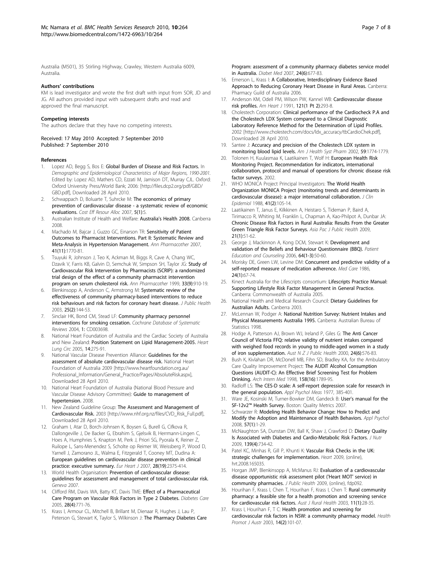<span id="page-6-0"></span>Australia (M501), 35 Stirling Highway, Crawley, Western Australia 6009, Australia.

#### Authors' contributions

KM is lead investigator and wrote the first draft with input from SOR, JD and JG. All authors provided input with subsequent drafts and read and approved the final manuscript.

#### Competing interests

The authors declare that they have no competing interests.

Received: 17 May 2010 Accepted: 7 September 2010 Published: 7 September 2010

#### References

- Lopez AD, Begg S, Bos E: Global Burden of Disease and Risk Factors. In Demographic and Epidemiological Characteristics of Major Regions, 1990-2001. Edited by: Lopez AD, Mathers CD, Ezzati M, Jamison DT, Murray CJL. Oxford: Oxford University Press/World Bank; 2006: [\[http://files.dcp2.org/pdf/GBD/](http://files.dcp2.org/pdf/GBD/GBD.pdf) [GBD.pdf\]](http://files.dcp2.org/pdf/GBD/GBD.pdf), Downloaded 28 April 2010.
- 2. Schwappach D, Boluarte T, Suhrcke M: [The economics of primary](http://www.ncbi.nlm.nih.gov/pubmed/17501999?dopt=Abstract) [prevention of cardiovascular disease - a systematic review of economic](http://www.ncbi.nlm.nih.gov/pubmed/17501999?dopt=Abstract) [evaluations.](http://www.ncbi.nlm.nih.gov/pubmed/17501999?dopt=Abstract) Cost Eff Resour Alloc 2007, 5(1):5.
- 3. Australian Institute of Health and Welfare: Australia's Health 2008. Canberra 2008.
- 4. Machado M, Bajcar J, Guzzo GC, Einarson TR: [Sensitivity of Patient](http://www.ncbi.nlm.nih.gov/pubmed/17925496?dopt=Abstract) [Outcomes to Pharmacist Interventions. Part II: Systematic Review and](http://www.ncbi.nlm.nih.gov/pubmed/17925496?dopt=Abstract) [Meta-Analysis in Hypertension Management.](http://www.ncbi.nlm.nih.gov/pubmed/17925496?dopt=Abstract) Ann Pharmacother 2007, 41(11):1770-81.
- 5. Tsuyuki R, Johnson J, Teo K, Ackman M, Biggs R, Cave A, Chang WC, Dzavik V, Farris KB, Galvin D, Semchuk W, Simpson SH, Taylor JG: [Study of](http://www.ncbi.nlm.nih.gov/pubmed/10492489?dopt=Abstract) [Cardiovascular Risk Intervention by Pharmacists \(SCRIP\): a randomized](http://www.ncbi.nlm.nih.gov/pubmed/10492489?dopt=Abstract) [trial design of the effect of a community pharmacist intervention](http://www.ncbi.nlm.nih.gov/pubmed/10492489?dopt=Abstract) [program on serum cholesterol risk.](http://www.ncbi.nlm.nih.gov/pubmed/10492489?dopt=Abstract) Ann Pharmacother 1999, 33(9):910-19.
- Blenkinsopp A, Anderson C, Armstrong M: Systematic review of the effectiveness of community pharmacy-based interventions to reduce risk behaviours and risk factors for coronary heart disease. J Public Health 2003, 25(2):144-53.
- 7. Sinclair HK, Bond CM, Stead LF: Community pharmacy personnel interventions for smoking cessation. Cochrane Database of Systematic Reviews 2004, 1: CD003698.
- 8. National Heart Foundation of Australia and the Cardiac Society of Australia and New Zealand: [Position Statement on Lipid Management-2005.](http://www.ncbi.nlm.nih.gov/pubmed/16361000?dopt=Abstract) Heart Lung Circ 2005, 14:275-91.
- 9. National Vascular Disease Prevention Alliance: Guidelines for the assessment of absolute cardiovascular disease risk. National Heart Foundation of Australia 2009 [[http://www.heartfoundation.org.au/](http://www.heartfoundation.org.au/Professional_Information/General_Practice/Pages/AbsoluteRisk.aspx) [Professional\\_Information/General\\_Practice/Pages/AbsoluteRisk.aspx](http://www.heartfoundation.org.au/Professional_Information/General_Practice/Pages/AbsoluteRisk.aspx)], Downloaded 28 April 2010.
- 10. National Heart Foundation of Australia (National Blood Pressure and Vascular Disease Advisory Committee): Guide to management of hypertension. 2008.
- 11. New Zealand Guideline Group: The Assessment and Management of Cardiovascular Risk. 2003 [\[http://www.nhf.org.nz/files/CVD\\_Risk\\_Full.pdf\]](http://www.nhf.org.nz/files/CVD_Risk_Full.pdf), Downloaded 28 April 2010.
- 12. Graham I, Atar D, Borch-Johnsen K, Boysen G, Burell G, Cifkova R, Dallongeville J, De Backer G, Ebrahim S, Gjelsvik B, Herrmann-Lingen C, Hoes A, Humphries S, Knapton M, Perk J, Priori SG, Pyorala K, Reiner Z, Ruilope L, Sans-Menendez S, Scholte op Reimer W, Weissberg P, Wood D, Yarnell J, Zamorano JL, Walma E, Fitzgerald T, Cooney MT, Dudina A: [European guidelines on cardiovascular disease prevention in clinical](http://www.ncbi.nlm.nih.gov/pubmed/17726041?dopt=Abstract) [practice: executive summary.](http://www.ncbi.nlm.nih.gov/pubmed/17726041?dopt=Abstract) Eur Heart J 2007, 28(19):2375-414.
- 13. World Health Organisation: Prevention of cardiovascular disease: guidelines for assessment and management of total cardiovascular risk. Geneva 2007.
- 14. Clifford RM, Davis WA, Batty KT, Davis TME: [Effect of a Pharmaceutical](http://www.ncbi.nlm.nih.gov/pubmed/15793171?dopt=Abstract) [Care Program on Vascular Risk Factors in Type 2 Diabetes.](http://www.ncbi.nlm.nih.gov/pubmed/15793171?dopt=Abstract) Diabetes Care 2005, 28(4):771-76.
- 15. Krass I, Armour CL, Mitchell B, Brillant M, Dienaar R, Hughes J, Lau P, Peterson G, Stewart K, Taylor S, Wilkinson J: [The Pharmacy Diabetes Care](http://www.ncbi.nlm.nih.gov/pubmed/17523968?dopt=Abstract)

[Program: assessment of a community pharmacy diabetes service model](http://www.ncbi.nlm.nih.gov/pubmed/17523968?dopt=Abstract) [in Australia.](http://www.ncbi.nlm.nih.gov/pubmed/17523968?dopt=Abstract) Diabet Med 2007, 24(6):677-83.

- 16. Emerson L, Krass I: A Collaborative, Interdisciplinary Evidence Based Approach to Reducing Coronary Heart Disease in Rural Areas. Canberra: Pharmacy Guild of Australia 2006.
- 17. Anderson KM, Odell PM, Wilson PW, Kannel WB: [Cardiovascular disease](http://www.ncbi.nlm.nih.gov/pubmed/1985385?dopt=Abstract) [risk profiles.](http://www.ncbi.nlm.nih.gov/pubmed/1985385?dopt=Abstract) Am Heart J 1991, 121(1 Pt 2):293-8.
- 18. Cholestech Corporation: Clinical performance of the Cardiocheck P.A and the Cholestech LDX System compared to a Clinical Diagnostic Laboratory Reference Method for the Determination of Lipid Profiles. 2002 [\[http://www.cholestech.com/docs/ldx\\_accuracy/tbCardioChek.pdf](http://www.cholestech.com/docs/ldx_accuracy/tbCardioChek.pdf)], Downloaded 28 April 2010.
- 19. Santee J: [Accuracy and precision of the Cholestech LDX system in](http://www.ncbi.nlm.nih.gov/pubmed/12298117?dopt=Abstract) [monitoring blood lipid levels.](http://www.ncbi.nlm.nih.gov/pubmed/12298117?dopt=Abstract) Am J Health Syst Pharm 2002, 59:1774-1779.
- 20. Tolonen H, Kuulasmaa K, Laatikainen T, Wolf H: [European Health Risk](http://www.ncbi.nlm.nih.gov/pubmed/12364723?dopt=Abstract) [Monitoring Project. Recommendation for indicators, international](http://www.ncbi.nlm.nih.gov/pubmed/12364723?dopt=Abstract) [collaboration, protocol and manual of operations for chronic disease risk](http://www.ncbi.nlm.nih.gov/pubmed/12364723?dopt=Abstract) [factor surveys.](http://www.ncbi.nlm.nih.gov/pubmed/12364723?dopt=Abstract) 2002.
- 21. WHO MONICA Project Principal Investigators: [The World Health](http://www.ncbi.nlm.nih.gov/pubmed/3335877?dopt=Abstract) [Organization MONICA Project \(monitoring trends and determinants in](http://www.ncbi.nlm.nih.gov/pubmed/3335877?dopt=Abstract) [cardiovascular disease\): a major international collaboration.](http://www.ncbi.nlm.nih.gov/pubmed/3335877?dopt=Abstract) J Clin Epidemiol 1988, 41(2):105-14.
- 22. Laatikainen T, Janus E, Kilkkinen A, Heistaro S, Tideman P, Baird A, Tirimacco R, Whiting M, Franklin L, Chapman A, Kao-Philpot A, Dunbar JA: [Chronic Disease Risk Factors in Rural Australia: Results From the Greater](http://www.ncbi.nlm.nih.gov/pubmed/19124336?dopt=Abstract) [Green Triangle Risk Factor Surveys.](http://www.ncbi.nlm.nih.gov/pubmed/19124336?dopt=Abstract) Asia Pac J Public Health 2009, 21(1):51-62.
- 23. George J, Mackinnon A, Kong DCM, Stewart K: [Development and](http://www.ncbi.nlm.nih.gov/pubmed/16843634?dopt=Abstract) [validation of the Beliefs and Behaviour Questionnaire \(BBQ\).](http://www.ncbi.nlm.nih.gov/pubmed/16843634?dopt=Abstract) Patient Education and Counseling 2006, 64(1-3):50-60.
- 24. Morisky DE, Green LW, Levine DM: [Concurrent and predictive validity of a](http://www.ncbi.nlm.nih.gov/pubmed/3945130?dopt=Abstract) [self-reported measure of medication adherence.](http://www.ncbi.nlm.nih.gov/pubmed/3945130?dopt=Abstract) Med Care 1986, 24(1):67-74.
- 25. Kinect Australia for the Lifescripts consortium: Lifescripts Practice Manual: Supporting Lifestyle Risk Factor Management in General Practice. Canberra: Commonwealth of Australia 2005.
- 26. National Health and Medical Research Council: Dietary Guidelines for Australian Adults. Canberra 2003.
- 27. McLennan W, Podger A: National Nutrition Survey: Nutrient Intakes and Physical Measurements Australia 1995. Canberra: Australian Bureau of Statistics 1998.
- 28. Hodge A, Patterson AJ, Brown WJ, Ireland P, Giles G: [The Anti Cancer](http://www.ncbi.nlm.nih.gov/pubmed/11215004?dopt=Abstract) [Council of Victoria FFQ: relative validity of nutrient intakes compared](http://www.ncbi.nlm.nih.gov/pubmed/11215004?dopt=Abstract) [with weighed food records in young to middle-aged women in a study](http://www.ncbi.nlm.nih.gov/pubmed/11215004?dopt=Abstract) [of iron supplementation.](http://www.ncbi.nlm.nih.gov/pubmed/11215004?dopt=Abstract) Aust N Z J Public Health 2000, 24(6):576-83.
- 29. Bush K, Kivlahan DR, McDonell MB, Fihn SD, Bradley KA, for the Ambulatory Care Quality Improvement Project: [The AUDIT Alcohol Consumption](http://www.ncbi.nlm.nih.gov/pubmed/9738608?dopt=Abstract) [Questions \(AUDIT-C\): An Effective Brief Screening Test for Problem](http://www.ncbi.nlm.nih.gov/pubmed/9738608?dopt=Abstract) [Drinking.](http://www.ncbi.nlm.nih.gov/pubmed/9738608?dopt=Abstract) Arch Intern Med 1998, 158(16):1789-95.
- 30. Radloff LS: The CES-D scale: A self-report depression scale for research in the general population. Appl Psychol Meas 1977, 385-401.
- 31. Ware JE, Kosinski M, Turner-Bowker DM, Gandeck B: User's manual for the SF-12v2™ Health Survey. Boston: Quality Metrics 2007.
- 32. Schwarzer R: Modeling Health Behavior Change: How to Predict and Modify the Adoption and Maintenance of Health Behaviors. Appl Psychol 2008, 57(1):1-29.
- 33. McNaughton SA, Dunstan DW, Ball K, Shaw J, Crawford D: [Dietary Quality](http://www.ncbi.nlm.nih.gov/pubmed/19211825?dopt=Abstract) [Is Associated with Diabetes and Cardio-Metabolic Risk Factors.](http://www.ncbi.nlm.nih.gov/pubmed/19211825?dopt=Abstract) J Nutr 2009, 139(4):734-42.
- 34. Patel KC, Minhas R, Gill P, Khunti K: [Vascular Risk Checks in the UK:](http://www.ncbi.nlm.nih.gov/pubmed/19332419?dopt=Abstract) [strategic challenges for implementation.](http://www.ncbi.nlm.nih.gov/pubmed/19332419?dopt=Abstract) Heart 2009, (online), hrt.2008.165035.
- 35. Horgan JMP, Blenkinsopp A, McManus RJ: Evaluation of a cardiovascular disease opportunistic risk assessment pilot ('Heart MOT' service) in community pharmacies. J Public Health 2009, (online), fdp092.
- 36. Hourihan F, Krass I, Chen T, Hourihan F, Krass I, Chen T: [Rural community](http://www.ncbi.nlm.nih.gov/pubmed/12603444?dopt=Abstract) [pharmacy: a feasible site for a health promotion and screening service](http://www.ncbi.nlm.nih.gov/pubmed/12603444?dopt=Abstract) [for cardiovascular risk factors.](http://www.ncbi.nlm.nih.gov/pubmed/12603444?dopt=Abstract) Aust J Rural Health 2003, 11(1):28-35.
- 37. Krass I, Hourihan F, T C: Health promotion and screening for cardiovascular risk factors in NSW: a community pharmacy model. Health Promot J Austr 2003, 14(2):101-07.